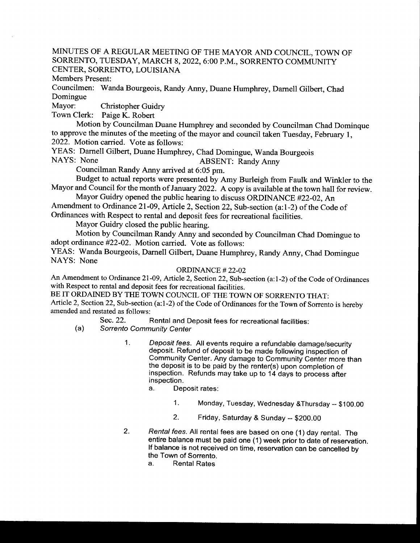#### MINUTES OF A REGULAR MEETING OF THE MAYOR AND COUNCIL, TOWN OF SORRENTO, TUESDAY, MARCH 8, 2022, 6:00 P.M., SORRENTO COMMUNITY CENTER, SORRENTO, LOUISIANA

Members Present:

Councilmen: Wanda Bourgeois, Randy Anny, Duane Humphrey, Darnell Gilbert, Chad Domingue

Mayor: Christopher Guidry

Town Clerk: Paige K. Robert

Motion by Councilman Duane Humphrey and seconded by Councilman Chad Dominque to approve the minutes of the meeting of the mayor and council taken Tuesday, February 1, 2022. Motion carried. Vote as follows:

YEAS: Darnell Gilbert, Duane Humphrey, Chad Domingue, Wanda Bourgeois<br>NAYS: None ABSENT: Randy Anny

ABSENT: Randy Anny Councilman Randy Anny arrived at 6:05 pm.

Budget to actual reports were presented by Amy Burleigh from Faulk and Winkler to the Mayor and Council for the month of January 2022. A copy is available at the town hall for review.

Mayor Guidry opened the public hearing to discuss ORDINANCE #22-02, An Amendment to Ordinance 21-09, Article 2, Section 22, Sub-section (a:1-2) of the Code of

Ordinances with Respect to rental and deposit fees for recreational facilities.

Mayor Guidry closed the public hearing.

Motion by Councilman Randy Anny and seconded by Councilman Chad Domingue to adopt ordinance #22-02. Motion carried. Vote as follows:

YEAS: Wanda Bourgeois, Darnell Gilbert, Duane Humphrey, Randy Anny, Chad Domingue NAYS: None

#### ORDINANCE #22-02

An Amendment to Ordinance 21-09, Article 2, Section 22, Sub-section (a:1-2) of the Code of Ordinances with Respect to rental and deposit fees for recreational facilities.

BE IT ORDAINED BY THE TOWN COUNCIL OF THE TOWN OF SORRENTO THAT: Article 2, Section 22, Sub-section (a:1-2) of the Code of Ordinances for the Town of Sorrento is hereby amended and restated as follows:

Sec. 22. Rental and Deposit fees for recreational facilities:

a) Sorrento Community Center

- 1. Deposit fees. All events require a refundable damage/security deposit. Refund of deposit to be made following inspection of Community Center. Any damage to Community Center more than the deposit is to be paid by the renter(s) upon completion of inspection. Refunds may take up to <sup>14</sup> days to process after inspection.
	- a. Deposit rates:
		- 1. Monday, Tuesday, Wednesday &Thursday--\$ 100. 00
		- 2. Friday, Saturday & Sunday -- \$200.00
- 2. Rental fees. All rental fees are based on one (1) day rental. The entire balance must be paid one ( 1) week prior to date of reservation. If balance is not received on time, reservation can be cancelled by the Town of Sorrento.
	- a. Rental Rates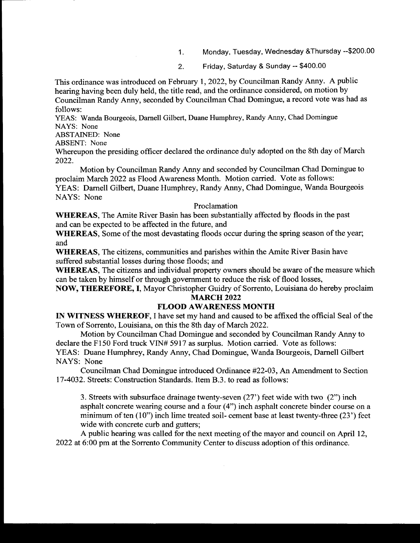- 1. Monday, Tuesday, Wednesday & Thursday -- \$200.00
- 2. Friday, Saturday & Sunday -- \$400.00

This ordinance was introduced on February 1, 2022, by Councilman Randy Anny. A public hearing having been duly held, the title read, and the ordinance considered, on motion by Councilman Randy Anny, seconded by Councilman Chad Domingue, a record vote was had as follows:

YEAS: Wanda Bourgeois, Darnell Gilbert, Duane Humphrey, Randy Anny, Chad Domingue NAYS: None

ABSTAINED: None

ABSENT: None

Whereupon the presiding officer declared the ordinance duly adopted on the 8th day of March 2022.

Motion by Councilman Randy Anny and seconded by Councilman Chad Domingue to proclaim March 2022 as Flood Awareness Month. Motion carried. Vote as follows: YEAS: Darnell Gilbert, Duane Humphrey, Randy Anny, Chad Domingue, Wanda Bourgeois NAYS: None

#### Proclamation

WHEREAS, The Amite River Basin has been substantially affected by floods in the past and can be expected to be affected in the future, and

WHEREAS, Some of the most devastating floods occur during the spring season of the year; and

WHEREAS, The citizens, communities and parishes within the Amite River Basin have suffered substantial losses during those floods; and

WHEREAS, The citizens and individual property owners should be aware of the measure which can be taken by himself or through government to reduce the risk of flood losses,

NOW, THEREFORE, I, Mayor Christopher Guidry of Sorrento, Louisiana do hereby proclaim **MARCH 2022** 

#### FLOOD AWARENESS MONTH

IN WITNESS WHEREOF, I have set my hand and caused to be affixed the official Seal of the Town of Sorrento, Louisiana, on this the 8th day of March 2022.

Motion by Councilman Chad Domingue and seconded by Councilman Randy Anny to declare the F150 Ford truck VIN# 5917 as surplus. Motion carried. Vote as follows: YEAS: Duane Humphrey, Randy Anny, Chad Domingue, Wanda Bourgeois, Darnell Gilbert NAYS: None

Councilman Chad Domingue introduced Ordinance #22-03, An Amendment to Section 17-4032. Streets: Construction Standards. Item B.3. to read as follows:

3. Streets with subsurface drainage twenty- seven (27') feet wide with two ( 2") inch asphalt concrete wearing course and <sup>a</sup> four (4") inch asphalt concrete binder course on <sup>a</sup> minimum of ten  $(10")$  inch lime treated soil- cement base at least twenty-three  $(23')$  feet wide with concrete curb and gutters;

A public hearing was called for the next meeting ofthe mayor and council on April 12, <sup>2022</sup> at 6: <sup>00</sup> pm at the Sorrento Community Center to discuss adoption ofthis ordinance.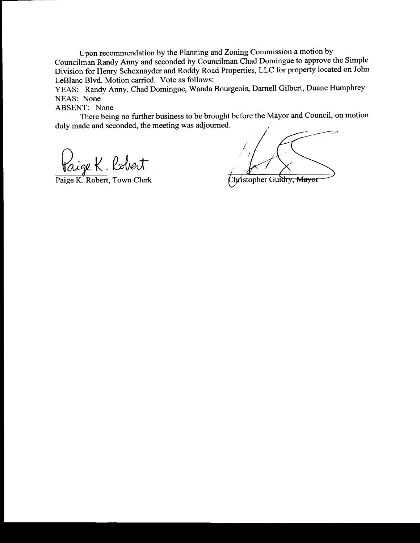Upon recommendation by the Planning and Zoning Commission a motion by Councilman Randy Anny and seconded by Councilman Chad Domingue to approve the Simple Division for Henry Schexnayder and Roddy Road Properties, LLC for property located on John LeBlanc Blvd. Motion carried. Vote as follows:

YEAS: Randy Anny, Chad Domingue, Wanda Bourgeois, Darnell Gilbert, Duane Humphrey NEAS: None

ABSENT: None

There being no further business to be brought before the Mayor and Council, on motion duly made and seconded, the meeting was adjourned.

Paige K. Robert

Paige K. Robert, Town Clerk Stopher Guidry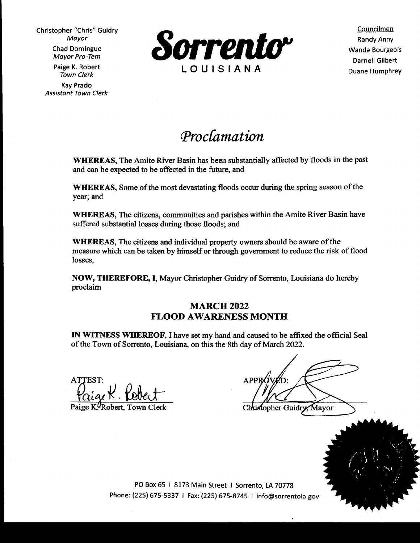Mayor Pro- Tem Kay Prado Assistant Town Clerk



Darnell Gilbert

# Proclamation

WHEREAS, The Amite River Basin has been substantially affected by floods in the past and can be expected to be affected in the future, and

WHEREAS, Some of the most devastating floods occur during the spring season of the year; and

WHEREAS, The citizens, communities and parishes within the Amite River Basin have suffered substantial losses during those floods; and

WHEREAS, The citizens and individual property owners should be aware of the measure which can be taken by himself or through government to reduce the risk of flood losses,

NOW, THEREFORE, I, Mayor Christopher Guidry of Sorrento, Louisiana do hereby proclaim

## **MARCH 2022** FLOOD AWARENESS MONTH

IN WITNESS WHEREOF, I have set my hand and caused to be affixed the official Seal of the Town of Sorrento, Louisiana, on this the 8th day of March 2022.

 $\text{APPR}\left(\text{V}\right)$ :

Rebert Marian Christopher Guidry, Mayor



PO Box 65 | 8173 Main Street | Sorrento, LA 70778 Phone: (225) 675-5337 | Fax: (225) 675-8745 | info@sorrentola.gov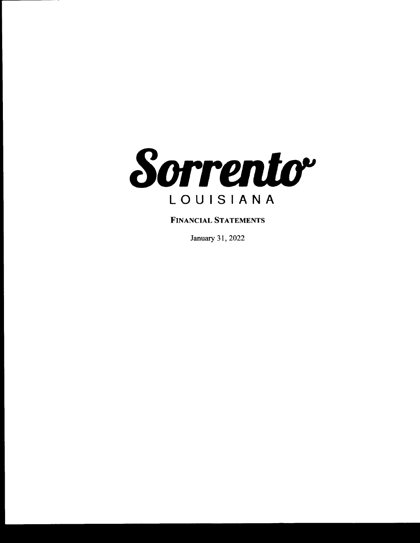

## FINANCIAL STATEMENTS

January 31, 2022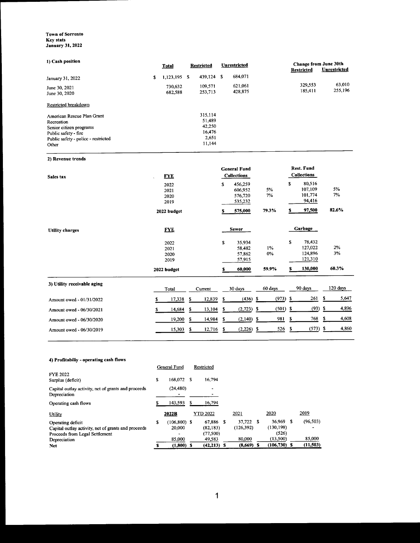#### Town of Sorrento Key stats January 31, 2022

| 1) Cash position                                                                                                                            | <b>Total</b>                 | <b>Restricted</b>                                        |      | Unrestricted                              |                                  | Change from June 30th<br>Restricted           | Unrestricted      |
|---------------------------------------------------------------------------------------------------------------------------------------------|------------------------------|----------------------------------------------------------|------|-------------------------------------------|----------------------------------|-----------------------------------------------|-------------------|
| January 31, 2022                                                                                                                            | \$<br>1,123,195              | 439,124<br>- \$                                          | - \$ | 684,071                                   |                                  |                                               |                   |
| June 30, 2021<br>June 30, 2020                                                                                                              | 730,632<br>682,588           | 109,571<br>253,713                                       |      | 621,061<br>428,875                        |                                  | 329,553<br>185,411                            | 63,010<br>255,196 |
| Restricted breakdown                                                                                                                        |                              |                                                          |      |                                           |                                  |                                               |                   |
| American Rescue Plan Grant<br>Recreation<br>Senior citizen programs<br>Public safety - fire<br>Public safety - police - restricted<br>Other |                              | 315,114<br>51,489<br>42,250<br>16,476<br>2,651<br>11,144 |      |                                           |                                  |                                               |                   |
| 2) Revenue trends                                                                                                                           |                              |                                                          |      |                                           |                                  |                                               |                   |
| Sales tax                                                                                                                                   | <b>FYE</b>                   |                                                          |      | <b>General Fund</b><br><b>Collections</b> |                                  | <b>Rest. Fund</b><br><b>Collections</b>       |                   |
|                                                                                                                                             | 2022<br>2021<br>2020<br>2019 |                                                          | \$   | 456,259<br>606,952<br>576,720<br>535,232  | 5%<br>7%                         | \$<br>80,516<br>107,109<br>101,774<br>94,416  | 5%<br>7%          |
|                                                                                                                                             | 2022 budget                  |                                                          | s    | 575,000                                   | 79.3%                            | 97,500                                        | 82.6%             |
| <b>Utility charges</b>                                                                                                                      | <b>FYE</b>                   |                                                          |      | <b>Sewer</b>                              |                                  | Garbage                                       |                   |
|                                                                                                                                             | 2022<br>2021<br>2020<br>2019 |                                                          | \$   | 35,934<br>58,482<br>57,862<br>57,915      | 1%<br>$0\%$                      | \$<br>78,432<br>127,022<br>124,896<br>121,310 | 2%<br>3%          |
|                                                                                                                                             | 2022 budget                  |                                                          | s    | 60,000                                    | 59.9%                            | 130,000<br>\$                                 | 60.3%             |
| 3) Utility receivable aging                                                                                                                 | Total                        | Current                                                  |      | 30 days                                   | 60 days                          | 90 days                                       | 120 days          |
| Amount owed - 01/31/2022                                                                                                                    | \$<br>17,338                 | \$<br>12,839                                             | \$   | (436)                                     | (973)<br>$\overline{\mathbf{z}}$ | \$<br>261                                     | 5,647<br>\$       |
| Amount owed - 06/30/2021                                                                                                                    | \$<br>14,684                 | \$<br>13,104                                             | \$   | (2,723)                                   | (501)<br>-\$                     | \$<br>(93)                                    | 4,896<br>\$       |
| Amount owed - 06/30/2020                                                                                                                    | 19,200                       | \$<br>14,984                                             | \$   | $(2,140)$ \$                              | 981                              | 768<br>\$                                     | 4,608<br>\$       |

Amount owed - 06/30/2019 15, 303 \$ 12, 716 \$ (2, 226) \$ 526 \$ (573) \$ 4,860

#### 4) Profitabiliy- operating cash flows

|                                                                     | General Fund          | Restricted      |              |                 |   |           |
|---------------------------------------------------------------------|-----------------------|-----------------|--------------|-----------------|---|-----------|
| <b>FYE 2022</b><br>Surplus (deficit)                                | \$<br>168,072 \$      | 16,794          |              |                 |   |           |
| Capital outlay activity, net of grants and proceeds<br>Depreciation | (24, 480)             | -               |              |                 |   |           |
| Operating cash flows                                                | 143,593               | 16,794          |              |                 |   |           |
| Utility                                                             | 2022B                 | <b>YTD 2022</b> | 2021         | 2020            |   | 2019      |
| Operating deficit                                                   | \$<br>$(106, 800)$ \$ | 67.886 \$       | 37.722 \$    | 36,969          | S | (96, 503) |
| Capital outlay activity, net of grants and proceeds                 | 20,000                | (82, 183)       | (126, 392)   | (130, 198)      |   |           |
| Proceeds from Legal Settlement                                      |                       | (77,500)        |              | (526)           |   |           |
| Depreciation                                                        | 85,000                | 49.583          | 80,000       | (13,500)        |   | 85,000    |
| <b>Net</b>                                                          | $(1,800)$ \$          | $(42, 213)$ \$  | $(8,669)$ \$ | $(106, 730)$ \$ |   | (11, 503) |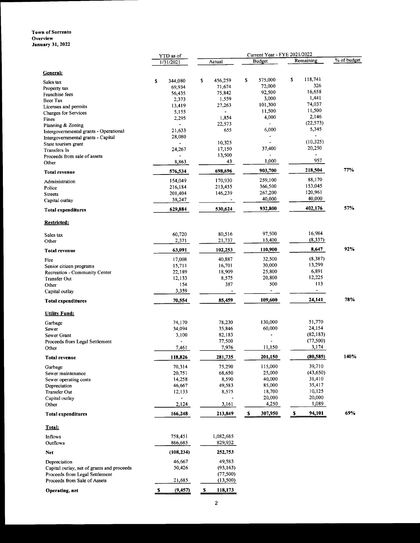#### Town of Sorrento **Overview** January 31, 2022

|                                            | YTD as of      | Current Year - FYE 2021/2022 |                |                        |             |
|--------------------------------------------|----------------|------------------------------|----------------|------------------------|-------------|
|                                            | 1/31/2021      | Actual                       | <b>Budget</b>  | Remaining              | % of budget |
| General:                                   |                |                              |                |                        |             |
| Sales tax                                  | 344,080<br>\$  | 456,259<br>\$                | \$<br>575,000  | 118,741<br>\$          |             |
| Property tax                               | 69,934         | 71,674                       | 72,000         | 326                    |             |
| Franchise fees                             | 56,435         | 75,842                       | 92,500         | 16,658                 |             |
| <b>Beer Tax</b>                            | 2,373          | 1,559                        | 3,000          | 1,441                  |             |
| Licenses and permits                       | 13,419         | 27,263                       | 101,300        | 74,037                 |             |
| <b>Charges for Services</b>                | 5,155          | $\omega$                     | 11,500         | 11,500                 |             |
| Fines                                      | 2,295          | 1,854                        | 4,000          | 2,146                  |             |
| Planning & Zoning                          | $\blacksquare$ | 22,573                       |                | (22, 573)              |             |
| Intergovernmental grants - Operational     | 21,633         | 655                          | 6,000          | 5,345                  |             |
| Intergovernmental grants - Capital         | 28,080         |                              |                | (10, 325)              |             |
| State tourism grant                        |                | 10,325                       |                | 20,250                 |             |
| Transfers In                               | 24,267         | 17,150                       | 37,400         |                        |             |
| Proceeds from sale of assets               |                | 13,500                       | 1,000          | 957                    |             |
| Other                                      | 8,863          | 43                           |                |                        | 77%         |
| <b>Total revenue</b>                       | 576,534        | 698,696                      | 903,700        | 218,504                |             |
| Administration                             | 154,049        | 170,930                      | 259,100        | 88,170                 |             |
| Police                                     | 216,184        | 213,455                      | 366,500        | 153,045                |             |
| <b>Streets</b>                             | 201,404        | 146,239                      | 267,200        | 120,961                |             |
| Capital outlay                             | 58,247         |                              | 40,000         | 40,000                 |             |
| <b>Total expenditures</b>                  | 629,884        | 530,624                      | 932,800        | 402,176                | 57%         |
| <b>Restricted:</b>                         |                |                              |                |                        |             |
| Sales tax                                  | 60,720         | 80,516                       | 97,500         | 16,984                 |             |
| Other                                      | 2,371          | 21,737                       | 13,400         | (8, 337)               |             |
| <b>Total revenue</b>                       | 63,091         | 102,253                      | 110,900        | 8,647                  | 92%         |
|                                            |                |                              |                |                        |             |
| Fire                                       | 17,008         | 40,887                       | 32,500         | (8, 387)               |             |
| Senior citizen programs                    | 15,711         | 16,701                       | 30,000         | 13,299                 |             |
| Recreation - Community Center              | 22,189         | 18,909                       | 25,800         | 6,891                  |             |
| Transfer Out                               | 12,133         | 8,575                        | 20,800         | 12,225                 |             |
| Other                                      | 154            | 387                          | 500            | 113                    |             |
| Capital outlay                             | 3,359          |                              | $\blacksquare$ | $\blacksquare$         |             |
| <b>Total expenditures</b>                  | 70,554         | 85,459                       | 109,600        | 24,141                 | 78%         |
| <b>Utility Fund:</b>                       |                |                              |                |                        |             |
| Garbage                                    | 74,170         | 78,230                       | 130,000        | 51,770                 |             |
| Sewer                                      | 34,094         | 35,846                       | 60,000         | 24,154                 |             |
| Sewer Grant                                | 3,100          | 82,183                       |                | (82, 183)              |             |
| Proceeds from Legal Settlement             | $\overline{a}$ | 77,500                       |                | (77, 500)              |             |
| Other                                      | 7,461          | 7,976                        | 11,150         | 3,174                  |             |
| <b>Total revenue</b>                       | 118,826        | 281,735                      | 201,150        | (80, 585)              | 140%        |
| Garbage                                    | 70,314         | 75,290                       | 115,000        | 39,710                 |             |
| Sewer maintenance                          | 20,751         | 68,650                       | 25,000         | (43, 650)              |             |
| Sewer operating costs                      | 14,258         | 8,590                        | 40,000         | 31,410                 |             |
| Depreciation                               | 46,667         | 49,583                       | 85,000         | 35,417                 |             |
| <b>Transfer Out</b>                        | 12,133         | 8,575                        | 18,700         | 10,125                 |             |
| Capital outlay                             |                |                              | 20,000         | 20,000                 |             |
| Other                                      | 2,124          | 3,161                        | 4,250          | 1,089                  |             |
| <b>Total expenditures</b>                  | 166,248        | 213,849                      | 307,950<br>S   | $\mathbf{s}$<br>94,101 | 69%         |
| Total:                                     |                |                              |                |                        |             |
| <b>Inflows</b>                             | 758,451        | 1,082,685                    |                |                        |             |
| Outflows                                   | 866,685        | 829,932                      |                |                        |             |
| <b>Net</b>                                 | (108, 234)     | 252,753                      |                |                        |             |
| Depreciation                               | 46,667         | 49,583                       |                |                        |             |
| Capital outlay, net of grants and proceeds | 30,426         | (93, 163)                    |                |                        |             |
| Proceeds from Legal Settlement             |                | (77, 500)                    |                |                        |             |
| Proceeds from Sale of Assets               | 21,685         | (13,500)                     |                |                        |             |

Operating, net 5 (9,457) 5 118, 173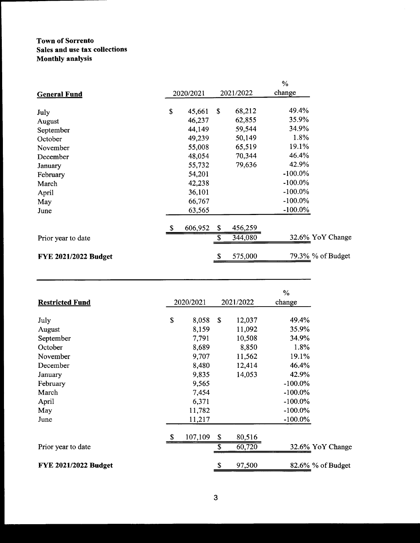### Town of Sorrento Sales and use tax collections Monthly analysis

|                             |                           |           |    |           | $\%$       |                   |
|-----------------------------|---------------------------|-----------|----|-----------|------------|-------------------|
| <b>General Fund</b>         |                           | 2020/2021 |    | 2021/2022 | change     |                   |
| July                        | \$                        | 45,661    | S. | 68,212    | 49.4%      |                   |
| August                      |                           | 46,237    |    | 62,855    | 35.9%      |                   |
| September                   |                           | 44,149    |    | 59,544    | 34.9%      |                   |
| October                     |                           | 49,239    |    | 50,149    | 1.8%       |                   |
| November                    |                           | 55,008    |    | 65,519    | 19.1%      |                   |
| December                    |                           | 48,054    |    | 70,344    | 46.4%      |                   |
| January                     |                           | 55,732    |    | 79,636    | 42.9%      |                   |
| February                    |                           | 54,201    |    |           | $-100.0\%$ |                   |
| March                       |                           | 42,238    |    |           | $-100.0\%$ |                   |
| April                       |                           | 36,101    |    |           | $-100.0\%$ |                   |
| May                         |                           | 66,767    |    |           | $-100.0\%$ |                   |
| June                        |                           | 63,565    |    |           | $-100.0\%$ |                   |
|                             | $\boldsymbol{\mathsf{S}}$ | 606,952   | \$ | 456,259   |            |                   |
| Prior year to date          |                           |           | \$ | 344,080   |            | 32.6% YoY Change  |
| <b>FYE 2021/2022 Budget</b> |                           |           | \$ | 575,000   |            | 79.3% % of Budget |

|                             |               |              | $\%$       |                   |
|-----------------------------|---------------|--------------|------------|-------------------|
| <b>Restricted Fund</b>      | 2020/2021     | 2021/2022    | change     |                   |
| July                        | \$<br>8,058   | \$<br>12,037 | 49.4%      |                   |
| August                      | 8,159         | 11,092       | 35.9%      |                   |
| September                   | 7,791         | 10,508       | 34.9%      |                   |
| October                     | 8,689         | 8,850        | 1.8%       |                   |
| November                    | 9,707         | 11,562       | 19.1%      |                   |
| December                    | 8,480         | 12,414       | 46.4%      |                   |
| January                     | 9,835         | 14,053       | 42.9%      |                   |
| February                    | 9,565         |              | $-100.0\%$ |                   |
| March                       | 7,454         |              | $-100.0\%$ |                   |
| April                       | 6,371         |              | $-100.0\%$ |                   |
| May                         | 11,782        |              | $-100.0\%$ |                   |
| June                        | 11,217        |              | $-100.0\%$ |                   |
|                             | \$<br>107,109 | \$<br>80,516 |            |                   |
| Prior year to date          |               | \$<br>60,720 |            | 32.6% YoY Change  |
| <b>FYE 2021/2022 Budget</b> |               | \$<br>97,500 |            | 82.6% % of Budget |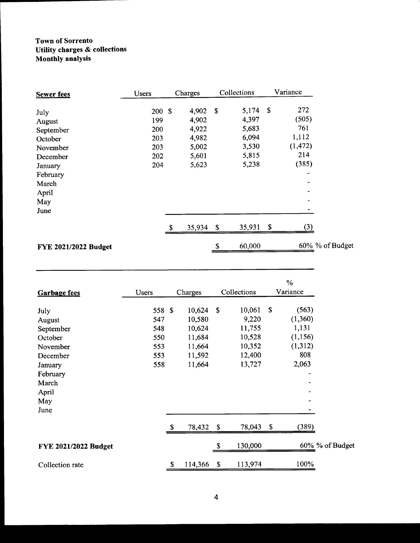#### Town of Sorrento Utility charges& collections Monthly analysis

| <b>Sewer fees</b>           | <b>Users</b> |   | Charges |             | Collections | Variance        |
|-----------------------------|--------------|---|---------|-------------|-------------|-----------------|
| July                        | 200S         |   | 4,902   | -S          | 5,174       | \$<br>272       |
| August                      | 199          |   | 4,902   |             | 4,397       | (505)           |
| September                   | 200          |   | 4,922   |             | 5,683       | 761             |
| October                     | 203          |   | 4,982   |             | 6,094       | 1,112           |
| November                    | 203          |   | 5,002   |             | 3,530       | (1, 472)        |
| December                    | 202          |   | 5,601   |             | 5,815       | 214             |
| January                     | 204          |   | 5,623   |             | 5,238       | (385)           |
| February                    |              |   |         |             |             | $\qquad \qquad$ |
| March                       |              |   |         |             |             | -               |
| April                       |              |   |         |             |             |                 |
| May                         |              |   |         |             |             |                 |
| June                        |              |   |         |             |             |                 |
|                             |              | S | 35,934  | $\mathbf S$ | 35,931      | \$<br>(3)       |
| <b>FYE 2021/2022 Budget</b> |              |   |         |             | 60,000      | 60% % of Budget |

| <b>Garbage fees</b>         | Users  |    | Charges |                    | Collections | $\%$<br>Variance |
|-----------------------------|--------|----|---------|--------------------|-------------|------------------|
| July                        | 558 \$ |    | 10,624  | $\mathbf{\hat{s}}$ | 10,061      | \$<br>(563)      |
| August                      | 547    |    | 10,580  |                    | 9,220       | (1,360)          |
| September                   | 548    |    | 10,624  |                    | 11,755      | 1,131            |
| October                     | 550    |    | 11,684  |                    | 10,528      | (1, 156)         |
| November                    | 553    |    | 11,664  |                    | 10,352      | (1,312)          |
| December                    | 553    |    | 11,592  |                    | 12,400      | 808              |
| January                     | 558    |    | 11,664  |                    | 13,727      | 2,063            |
| February                    |        |    |         |                    |             |                  |
| March                       |        |    |         |                    |             |                  |
| April                       |        |    |         |                    |             |                  |
| May                         |        |    |         |                    |             |                  |
| June                        |        |    |         |                    |             |                  |
|                             |        | S  | 78,432  | \$                 | 78,043      | \$<br>(389)      |
| <b>FYE 2021/2022 Budget</b> |        |    |         |                    | 130,000     | 60% % of Budget  |
| Collection rate             |        | \$ | 114,366 | \$                 | 113,974     | 100%             |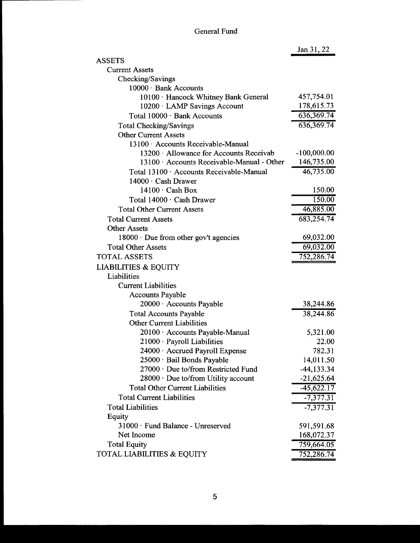## General Fund

|                                             | Jan 31, 22    |
|---------------------------------------------|---------------|
| <b>ASSETS</b>                               |               |
| <b>Current Assets</b>                       |               |
| Checking/Savings                            |               |
| 10000 · Bank Accounts                       |               |
| 10100 · Hancock Whitney Bank General        | 457,754.01    |
| 10200 · LAMP Savings Account                | 178,615.73    |
| Total 10000 · Bank Accounts                 | 636, 369. 74  |
| <b>Total Checking/Savings</b>               | 636,369.74    |
| <b>Other Current Assets</b>                 |               |
| 13100 · Accounts Receivable-Manual          |               |
| 13200 · Allowance for Accounts Receivab     | $-100,000.00$ |
| 13100 Accounts Receivable-Manual - Other    | 146,735.00    |
| Total 13100 · Accounts Receivable-Manual    | 46,735.00     |
| $14000 \cdot$ Cash Drawer                   |               |
| $14100 \cdot$ Cash Box                      | 150.00        |
| Total 14000 · Cash Drawer                   | 150.00        |
| <b>Total Other Current Assets</b>           | 46,885.00     |
| <b>Total Current Assets</b>                 | 683,254.74    |
| <b>Other Assets</b>                         |               |
| $18000 \cdot$ Due from other gov't agencies | 69,032.00     |
| <b>Total Other Assets</b>                   | 69,032.00     |
| <b>TOTAL ASSETS</b>                         | 752,286.74    |
| <b>LIABILITIES &amp; EQUITY</b>             |               |
| Liabilities                                 |               |
| <b>Current Liabilities</b>                  |               |
| <b>Accounts Payable</b>                     |               |
| 20000 · Accounts Payable                    | 38,244.86     |
| <b>Total Accounts Payable</b>               | 38,244.86     |
| <b>Other Current Liabilities</b>            |               |
| 20100 · Accounts Payable-Manual             | 5,321.00      |
| $21000 \cdot$ Payroll Liabilities           | 22.00         |
| 24000 · Accrued Payroll Expense             | 782.31        |
| 25000 · Bail Bonds Payable                  | 14,011.50     |
| 27000 · Due to/from Restricted Fund         | $-44, 133.34$ |
| $28000 \cdot$ Due to/from Utility account   | $-21,625.64$  |
| <b>Total Other Current Liabilities</b>      | $-45,622.17$  |
| <b>Total Current Liabilities</b>            | $-7,377.31$   |
| <b>Total Liabilities</b>                    | $-7,377.31$   |
| Equity                                      |               |
| 31000 · Fund Balance - Unreserved           | 591,591.68    |
| Net Income                                  | 168,072.37    |
| <b>Total Equity</b>                         | 759,664.05    |
| TOTAL LIABILITIES & EQUITY                  | 752,286.74    |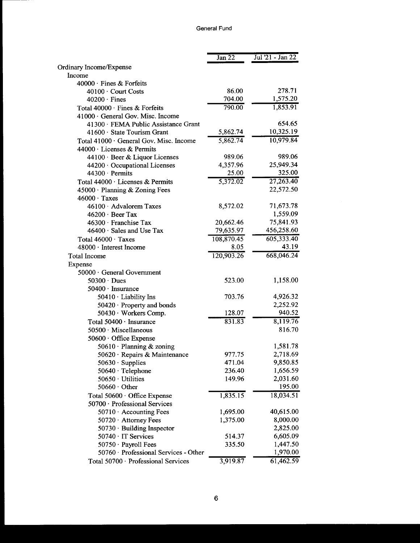|                                                  | Jan 22     | Jul '21 - Jan 22     |
|--------------------------------------------------|------------|----------------------|
| Ordinary Income/Expense                          |            |                      |
| Income                                           |            |                      |
| $40000 \cdot$ Fines & Forfeits                   |            |                      |
| 40100 · Court Costs                              | 86.00      | 278.71               |
| $40200 \cdot$ Fines                              | 704.00     | 1,575.20             |
| Total 40000 · Fines & Forfeits                   | 790.00     | 1,853.91             |
| 41000 General Gov. Misc. Income                  |            |                      |
| 41300 · FEMA Public Assistance Grant             |            | 654.65               |
| 41600 · State Tourism Grant                      | 5,862.74   | 10,325.19            |
| Total 41000 · General Gov. Misc. Income          | 5,862.74   | 10,979.84            |
| $44000 \cdot$ Licenses & Permits                 |            |                      |
| 44100 · Beer & Liquor Licenses                   | 989.06     | 989.06               |
| 44200 · Occupational Licenses                    | 4,357.96   | 25,949.34            |
| 44300 · Permits                                  | 25.00      | 325.00               |
| Total 44000 · Licenses & Permits                 | 5,372.02   | 27,263.40            |
| 45000 · Planning & Zoning Fees                   |            | 22,572.50            |
| $46000 \cdot \text{Taxes}$                       |            |                      |
| 46100 · Advalorem Taxes                          | 8,572.02   | 71,673.78            |
| $46200 \cdot$ Beer Tax                           |            | 1,559.09             |
| 46300 · Franchise Tax                            | 20,662.46  | 75,841.93            |
| 46400 · Sales and Use Tax                        | 79,635.97  | 456,258.60           |
| Total $46000 \cdot$ Taxes                        | 108,870.45 | 605,333.40           |
| 48000 · Interest Income                          | 8.05       | 43.19                |
| <b>Total Income</b>                              | 120,903.26 | 668,046.24           |
| Expense                                          |            |                      |
| 50000 · General Government                       |            |                      |
| $50300 \cdot$ Dues                               | 523.00     | 1,158.00             |
| 50400 · Insurance                                |            |                      |
| 50410 · Liability Ins                            | 703.76     | 4,926.32<br>2,252.92 |
| 50420 · Property and bonds                       | 128.07     | 940.52               |
| 50430 · Workers Comp.                            | 831.83     | 8,119.76             |
| Total 50400 · Insurance<br>50500 · Miscellaneous |            | 816.70               |
| 50600 · Office Expense                           |            |                      |
| 50610 · Planning & zoning                        |            | 1,581.78             |
| 50620 · Repairs & Maintenance                    | 977.75     | 2,718.69             |
| $50630 \cdot$ Supplies                           | 471.04     | 9,850.85             |
| 50640 · Telephone                                | 236.40     | 1,656.59             |
| 50650 · Utilities                                | 149.96     | 2,031.60             |
| $50660 \cdot$ Other                              |            | 195.00               |
| Total 50600 · Office Expense                     | 1,835.15   | 18,034.51            |
| 50700 · Professional Services                    |            |                      |
| $50710 \cdot$ Accounting Fees                    | 1,695.00   | 40,615.00            |
| 50720 Attorney Fees                              | 1,375.00   | 8,000.00             |
| $50730 \cdot$ Building Inspector                 |            | 2,825.00             |
| $50740 \cdot IT$ Services                        | 514.37     | 6,605.09             |
| 50750 · Payroll Fees                             | 335.50     | 1,447.50             |
| 50760 · Professional Services - Other            |            | 1,970.00             |
| Total 50700 · Professional Services              | 3,919.87   | 61,462.59            |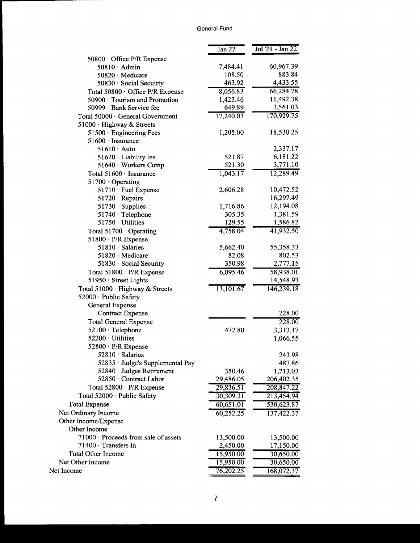#### General Fund

|                                      | Jan <sub>22</sub> | Jul '21 - Jan 22 |
|--------------------------------------|-------------------|------------------|
| 50800 $\cdot$ Office P/R Expense     |                   |                  |
| $50810 \cdot$ Admin                  | 7,484.41          | 60,967.39        |
| 50820 · Medicare                     | 108.50            | 883.84           |
| 50830 · Social Secuirty              | 463.92            | 4,433.55         |
| Total 50800 · Office P/R Expense     | 8,056.83          | 66,284.78        |
| 50900 · Tourism and Promotion        | 1,423.46          | 11,492.38        |
| 50999 · Bank Service fee             | 649.89            | 3,561.03         |
| Total 50000 · General Government     | 17,240.03         | 170,929.75       |
| 51000 · Highway & Streets            |                   |                  |
| 51500 · Engineering Fees             | 1,205.00          | 18,530.25        |
| $51600 \cdot$ Insurance              |                   |                  |
| $51610 \cdot$ Auto                   |                   | 2,337.17         |
| 51620 $\cdot$ Liability Ins.         | 521.87            | 6,181.22         |
| 51640 · Workers Comp                 | 521.30            | 3,771.10         |
| Total 51600 · Insurance              | 1,043.17          | 12,289.49        |
| 51700 · Operating                    |                   |                  |
| 51710 · Fuel Expense                 | 2,606.28          | 10,472.52        |
| $51720 \cdot Repairs$                |                   | 16,297.49        |
| $51730 \cdot$ Supplies               | 1,716.86          | 12,194.08        |
| 51740 · Telephone                    | 305.35            | 1,381.59         |
| 51750 · Utilities                    | 129.55            | 1,586.82         |
| Total $51700 \cdot$ Operating        | 4,758.04          | 41,932.50        |
| $51800 \cdot P/R$ Expense            |                   |                  |
| 51810 Salaries                       | 5,662.40          | 55,358.33        |
| 51820 · Medicare                     | 82.08             | 802.53           |
| $51830 \cdot$ Social Security        | 350.98            | 2,777.15         |
| Total 51800 · P/R Expense            | 6,095.46          | 58,938.01        |
| 51950 · Street Lights                |                   | 14,548.93        |
| Total 51000 · Highway & Streets      | 13,101.67         | 146,239.18       |
| 52000 · Public Safety                |                   |                  |
| General Expense                      |                   |                  |
| <b>Contract Expense</b>              |                   | 228.00           |
| <b>Total General Expense</b>         |                   | 228.00           |
| 52100 · Telephone                    | 472.80            | 3,313.17         |
| 52200 · Utilities                    |                   | 1,066.55         |
| 52800 · P/R Expense                  |                   |                  |
| 52810 · Salaries                     |                   | 243.98           |
| 52835 · Judge's Supplemental Pay     |                   | 487.86           |
| 52840 · Judges Retirement            | 350.46            | 1,713.03         |
| 52850 · Contract Labor               | 29,486.05         | 206,402.35       |
| Total 52800 · P/R Expense            | 29,836.51         | 208,847.22       |
| Total 52000 · Public Safety          | 30,309.31         | 213,454.94       |
| <b>Total Expense</b>                 | 60,651.01         | 530,623.87       |
| Net Ordinary Income                  | 60,252.25         | 137,422.37       |
| Other Income/Expense                 |                   |                  |
| Other Income                         |                   |                  |
| 71000 · Proceeds from sale of assets | 13,500.00         | 13,500.00        |
| $71400 \cdot$ Transfers In           | 2,450.00          | 17,150.00        |
| <b>Total Other Income</b>            | 15,950.00         | 30,650.00        |
| Net Other Income                     | 15,950.00         | 30,650.00        |
| Net Income                           | 76,202.25         | 168,072.37       |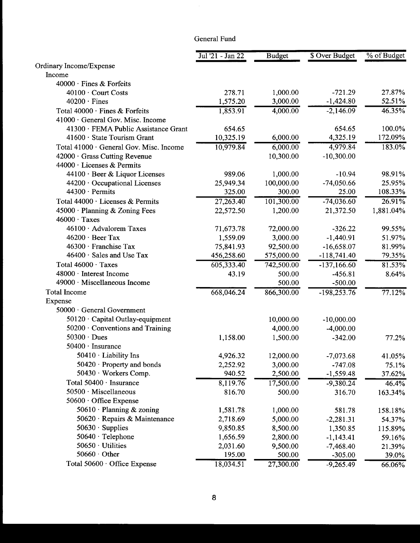### General Fund

|                                         | Jul '21 - Jan 22 | <b>Budget</b> | \$ Over Budget | % of Budget |
|-----------------------------------------|------------------|---------------|----------------|-------------|
| Ordinary Income/Expense                 |                  |               |                |             |
| Income                                  |                  |               |                |             |
| $40000 \cdot$ Fines & Forfeits          |                  |               |                |             |
| 40100 · Court Costs                     | 278.71           | 1,000.00      | $-721.29$      | 27.87%      |
| $40200 \cdot$ Fines                     | 1,575.20         | 3,000.00      | $-1,424.80$    | 52.51%      |
| Total 40000 · Fines & Forfeits          | 1,853.91         | 4,000.00      | $-2,146.09$    | 46.35%      |
| 41000 · General Gov. Misc. Income       |                  |               |                |             |
| 41300 · FEMA Public Assistance Grant    | 654.65           |               | 654.65         | 100.0%      |
| 41600 State Tourism Grant               | 10,325.19        | 6,000.00      | 4,325.19       | 172.09%     |
| Total 41000 · General Gov. Misc. Income | 10,979.84        | 6,000.00      | 4,979.84       | 183.0%      |
| 42000 · Grass Cutting Revenue           |                  | 10,300.00     | $-10,300.00$   |             |
| $44000 \cdot$ Licenses & Permits        |                  |               |                |             |
| 44100 · Beer & Liquor Licenses          | 989.06           | 1,000.00      | $-10.94$       | 98.91%      |
| 44200 · Occupational Licenses           | 25,949.34        | 100,000.00    | $-74,050.66$   | 25.95%      |
| $44300 \cdot$ Permits                   | 325.00           | 300.00        | 25.00          | 108.33%     |
| Total 44000 · Licenses & Permits        | 27,263.40        | 101,300.00    | $-74,036.60$   | 26.91%      |
| $45000 \cdot$ Planning & Zoning Fees    | 22,572.50        | 1,200.00      | 21,372.50      | 1,881.04%   |
| $46000 \cdot \text{Taxes}$              |                  |               |                |             |
| 46100 · Advalorem Taxes                 | 71,673.78        | 72,000.00     | $-326.22$      | 99.55%      |
| $46200 \cdot$ Beer Tax                  | 1,559.09         | 3,000.00      | $-1,440.91$    | 51.97%      |
| 46300 · Franchise Tax                   | 75,841.93        | 92,500.00     | $-16,658.07$   | 81.99%      |
| $46400 \cdot$ Sales and Use Tax         | 456,258.60       | 575,000.00    | $-118,741.40$  | 79.35%      |
| Total 46000 · Taxes                     | 605,333.40       | 742,500.00    | $-137,166.60$  | 81.53%      |
| 48000 · Interest Income                 | 43.19            | 500.00        | $-456.81$      | 8.64%       |
| 49000 · Miscellaneous Income            |                  | 500.00        | $-500.00$      |             |
| <b>Total Income</b>                     | 668,046.24       | 866,300.00    | $-198,253.76$  | 77.12%      |
| Expense                                 |                  |               |                |             |
| 50000 · General Government              |                  |               |                |             |
| 50120 · Capital Outlay-equipment        |                  | 10,000.00     | $-10,000.00$   |             |
| $50200 \cdot$ Conventions and Training  |                  | 4,000.00      | $-4,000.00$    |             |
| $50300 \cdot Dues$                      | 1,158.00         | 1,500.00      | $-342.00$      | 77.2%       |
| 50400 · Insurance                       |                  |               |                |             |
| $50410 \cdot$ Liability Ins             | 4,926.32         | 12,000.00     | $-7,073.68$    | 41.05%      |
| $50420 \cdot$ Property and bonds        | 2,252.92         | 3,000.00      | $-747.08$      | 75.1%       |
| 50430 · Workers Comp.                   | 940.52           | 2,500.00      | $-1,559.48$    | 37.62%      |
| Total 50400 · Insurance                 | 8,119.76         | 17,500.00     | $-9,380.24$    | 46.4%       |
| 50500 · Miscellaneous                   | 816.70           | 500.00        | 316.70         | 163.34%     |
| 50600 · Office Expense                  |                  |               |                |             |
| 50610 · Planning & zoning               | 1,581.78         | 1,000.00      | 581.78         | 158.18%     |
| 50620 · Repairs & Maintenance           | 2,718.69         | 5,000.00      | $-2,281.31$    | 54.37%      |
| $50630 \cdot$ Supplies                  | 9,850.85         | 8,500.00      | 1,350.85       | 115.89%     |
| 50640 · Telephone                       | 1,656.59         | 2,800.00      | $-1,143.41$    | 59.16%      |
| $50650 \cdot$ Utilities                 | 2,031.60         | 9,500.00      | $-7,468.40$    | 21.39%      |
| $50660 \cdot$ Other                     | 195.00           | 500.00        | $-305.00$      | 39.0%       |
| Total 50600 · Office Expense            | 18,034.51        | 27,300.00     | $-9,265.49$    | 66.06%      |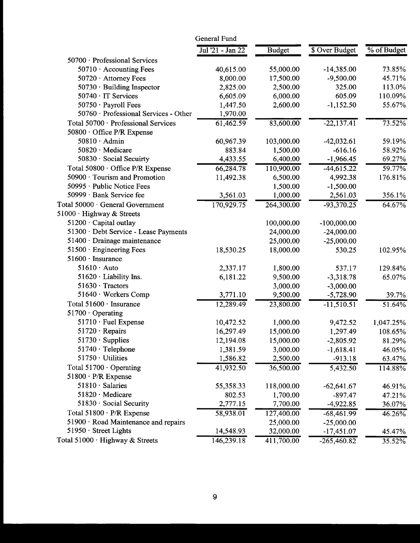|                                       | General Fund     |               |                |             |
|---------------------------------------|------------------|---------------|----------------|-------------|
|                                       | Jul '21 - Jan 22 | <b>Budget</b> | \$ Over Budget | % of Budget |
| 50700 · Professional Services         |                  |               |                |             |
| $50710 \cdot$ Accounting Fees         | 40,615.00        | 55,000.00     | $-14,385.00$   | 73.85%      |
| 50720 · Attorney Fees                 | 8,000.00         | 17,500.00     | $-9,500.00$    | 45.71%      |
| 50730 · Building Inspector            | 2,825.00         | 2,500.00      | 325.00         | 113.0%      |
| 50740 · IT Services                   | 6,605.09         | 6,000.00      | 605.09         | 110.09%     |
| $50750 \cdot$ Payroll Fees            | 1,447.50         | 2,600.00      | $-1,152.50$    | 55.67%      |
| 50760 · Professional Services - Other | 1,970.00         |               |                |             |
| Total 50700 · Professional Services   | 61,462.59        | 83,600.00     | $-22,137.41$   | 73.52%      |
| 50800 Office P/R Expense              |                  |               |                |             |
| $50810 \cdot$ Admin                   | 60,967.39        | 103,000.00    | $-42,032.61$   | 59.19%      |
| 50820 · Medicare                      | 883.84           | 1,500.00      | $-616.16$      | 58.92%      |
| 50830 · Social Secuirty               | 4,433.55         | 6,400.00      | $-1,966.45$    | 69.27%      |
| Total 50800 · Office P/R Expense      | 66,284.78        | 110,900.00    | $-44,615.22$   | 59.77%      |
| $50900 \cdot$ Tourism and Promotion   | 11,492.38        | 6,500.00      | 4,992.38       | 176.81%     |
| 50995 · Public Notice Fees            |                  | 1,500.00      | $-1,500.00$    |             |
| 50999 · Bank Service fee              | 3,561.03         | 1,000.00      | 2,561.03       | 356.1%      |
| Total 50000 · General Government      | 170,929.75       | 264,300.00    | $-93,370.25$   | 64.67%      |
| 51000 $\cdot$ Highway & Streets       |                  |               |                |             |
| $51200 \cdot$ Capital outlay          |                  | 100,000.00    | $-100,000.00$  |             |
| 51300 · Debt Service - Lease Payments |                  | 24,000.00     | $-24,000.00$   |             |
| $51400 \cdot$ Drainage maintenance    |                  | 25,000.00     | $-25,000.00$   |             |
| 51500 · Engineering Fees              | 18,530.25        | 18,000.00     | 530.25         | 102.95%     |
| $51600 \cdot \text{ Insurance}$       |                  |               |                |             |
| $51610 \cdot$ Auto                    | 2,337.17         | 1,800.00      | 537.17         | 129.84%     |
| $51620 \cdot$ Liability Ins.          | 6,181.22         | 9,500.00      | $-3,318.78$    | 65.07%      |
| 51630 · Tractors                      |                  | 3,000.00      | $-3,000.00$    |             |
| 51640 · Workers Comp                  | 3,771.10         | 9,500.00      | $-5,728.90$    | 39.7%       |
| Total 51600 · Insurance               | 12,289.49        | 23,800.00     | $-11,510.51$   | 51.64%      |
| $51700 \cdot$ Operating               |                  |               |                |             |
| $51710 \cdot$ Fuel Expense            | 10,472.52        | 1,000.00      | 9,472.52       | 1,047.25%   |
| $51720 \cdot$ Repairs                 | 16,297.49        | 15,000.00     | 1,297.49       | 108.65%     |
| $51730 \cdot$ Supplies                | 12,194.08        | 15,000.00     | $-2,805.92$    | 81.29%      |
| $51740 \cdot$ Telephone               | 1,381.59         | 3,000.00      | $-1,618.41$    | 46.05%      |
| $51750 \cdot$ Utilities               | 1,586.82         | 2,500.00      | $-913.18$      | 63.47%      |
| Total $51700 \cdot$ Operating         | 41,932.50        | 36,500.00     | 5,432.50       | 114.88%     |
| $51800 \cdot P/R$ Expense             |                  |               |                |             |
| $51810 \cdot$ Salaries                | 55,358.33        | 118,000.00    | $-62,641.67$   | 46.91%      |
| 51820 · Medicare                      | 802.53           | 1,700.00      | $-897.47$      | 47.21%      |
| $51830 \cdot$ Social Security         | 2,777.15         | 7,700.00      | $-4,922.85$    | 36.07%      |
| Total 51800 · P/R Expense             | 58,938.01        | 127,400.00    | $-68,461.99$   | 46.26%      |
| 51900 · Road Maintenance and repairs  |                  | 25,000.00     | $-25,000.00$   |             |
| $51950 \cdot$ Street Lights           | 14,548.93        | 32,000.00     | $-17,451.07$   | 45.47%      |
| Total 51000 · Highway & Streets       | 146,239.18       | 411,700.00    | $-265,460.82$  | 35.52%      |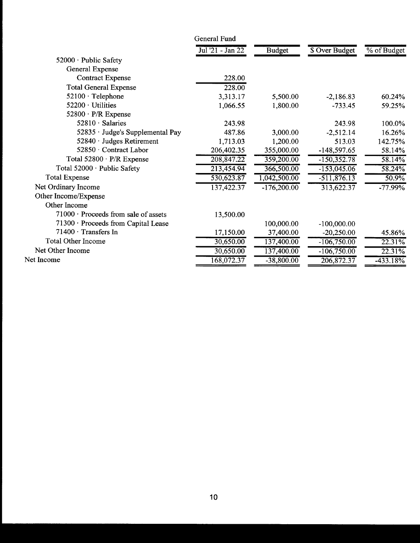|                                            | General Fund     |               |                       |             |
|--------------------------------------------|------------------|---------------|-----------------------|-------------|
|                                            | Jul '21 - Jan 22 | <b>Budget</b> | <b>\$ Over Budget</b> | % of Budget |
| 52000 · Public Safety                      |                  |               |                       |             |
| General Expense                            |                  |               |                       |             |
| <b>Contract Expense</b>                    | 228.00           |               |                       |             |
| <b>Total General Expense</b>               | 228.00           |               |                       |             |
| $52100 \cdot$ Telephone                    | 3,313.17         | 5,500.00      | $-2,186.83$           | 60.24%      |
| 52200 · Utilities                          | 1,066.55         | 1,800.00      | $-733.45$             | 59.25%      |
| $52800 \cdot P/R$ Expense                  |                  |               |                       |             |
| $52810 \cdot$ Salaries                     | 243.98           |               | 243.98                | 100.0%      |
| 52835 · Judge's Supplemental Pay           | 487.86           | 3,000.00      | $-2,512.14$           | 16.26%      |
| $52840 \cdot$ Judges Retirement            | 1,713.03         | 1,200.00      | 513.03                | 142.75%     |
| 52850 · Contract Labor                     | 206,402.35       | 355,000.00    | -148,597.65           | 58.14%      |
| Total 52800 · P/R Expense                  | 208,847.22       | 359,200.00    | $-150,352.78$         | 58.14%      |
| Total 52000 · Public Safety                | 213,454.94       | 366,500.00    | $-153,045.06$         | 58.24%      |
| <b>Total Expense</b>                       | 530,623.87       | 1,042,500.00  | $-511,876.13$         | 50.9%       |
| Net Ordinary Income                        | 137,422.37       | $-176,200.00$ | 313,622.37            | $-77.99\%$  |
| Other Income/Expense                       |                  |               |                       |             |
| Other Income                               |                  |               |                       |             |
| $71000 \cdot$ Proceeds from sale of assets | 13,500.00        |               |                       |             |
| 71300 · Proceeds from Capital Lease        |                  | 100,000.00    | $-100,000.00$         |             |
| $71400 \cdot$ Transfers In                 | 17,150.00        | 37,400.00     | $-20,250.00$          | 45.86%      |
| <b>Total Other Income</b>                  | 30,650.00        | 137,400.00    | $-106,750.00$         | 22.31%      |
| Net Other Income                           | 30,650.00        | 137,400.00    | $-106,750.00$         | 22.31%      |
| Net Income                                 | 168,072.37       | $-38,800.00$  | 206,872.37            | $-433.18\%$ |
|                                            |                  |               |                       |             |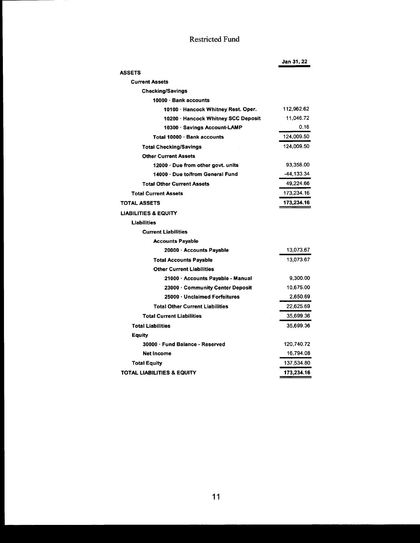## Restricted Fund

|                                        | Jan 31, 22 |
|----------------------------------------|------------|
| <b>ASSETS</b>                          |            |
| <b>Current Assets</b>                  |            |
| <b>Checking/Savings</b>                |            |
| 10000 · Bank accounts                  |            |
| 10100 · Hancock Whitney Rest. Oper.    | 112,962.62 |
| 10200 · Hancock Whitney SCC Deposit    | 11,046.72  |
| 10300 · Savings Account-LAMP           | 0.16       |
| Total 10000 · Bank accounts            | 124,009.50 |
| <b>Total Checking/Savings</b>          | 124.009.50 |
| <b>Other Current Assets</b>            |            |
| 12000 · Due from other govt. units     | 93,358.00  |
| 14000 · Due to/from General Fund       | -44,133.34 |
| <b>Total Other Current Assets</b>      | 49,224.66  |
| <b>Total Current Assets</b>            | 173,234.16 |
| <b>TOTAL ASSETS</b>                    | 173,234.16 |
| <b>LIABILITIES &amp; EQUITY</b>        |            |
| <b>Liabilities</b>                     |            |
| <b>Current Liabilities</b>             |            |
| <b>Accounts Payable</b>                |            |
| 20000 · Accounts Payable               | 13,073.67  |
| <b>Total Accounts Payable</b>          | 13,073.67  |
| <b>Other Current Liabilities</b>       |            |
| 21000 · Accounts Payable - Manual      | 9,300.00   |
| 23000 · Community Center Deposit       | 10,675.00  |
| 25000 · Unclaimed Forfeitures          | 2,650.69   |
| <b>Total Other Current Liabilities</b> | 22,625.69  |
| <b>Total Current Liabilities</b>       | 35,699.36  |
| <b>Total Liabilities</b>               | 35,699.36  |
| Equity                                 |            |
| 30000 · Fund Balance - Reserved        | 120,740.72 |
| <b>Net Income</b>                      | 16,794.08  |
| <b>Total Equity</b>                    | 137,534.80 |
| <b>TOTAL LIABILITIES &amp; EQUITY</b>  | 173.234.16 |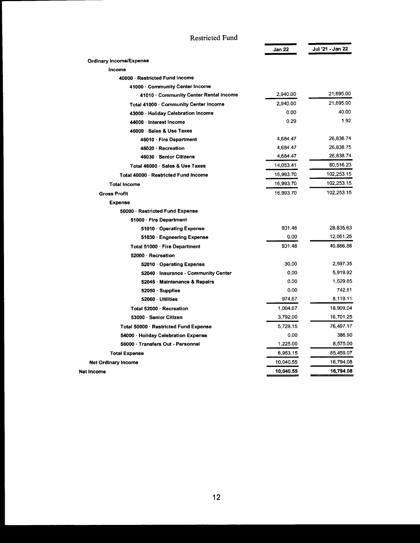| Restricted Fund                        |           |                  |
|----------------------------------------|-----------|------------------|
|                                        | Jan 22    | Jui '21 - Jan 22 |
| <b>Ordinary Income/Expense</b>         |           |                  |
| Income                                 |           |                  |
| 40000 · Restricted Fund Income         |           |                  |
| 41000 · Community Center Income        |           |                  |
| 41010 · Community Center Rental Income | 2,940.00  | 21,695.00        |
| Total 41000 · Community Center Income  | 2,940.00  | 21,695.00        |
| 43000 · Holiday Celebration Income     | 0.00      | 40.00            |
| 44000 Interest Income                  | 0.29      | 1.92             |
| 46000 · Sales & Use Taxes              |           |                  |
| 46010 · Fire Department                | 4,684.47  | 26,838.74        |
| 46020 · Recreation                     | 4,684.47  | 26,838.75        |
| 46030 Senior Citizens                  | 4,684.47  | 26,838.74        |
| Total 46000 · Sales & Use Taxes        | 14,053.41 | 80,516.23        |
| Total 40000 · Restricted Fund Income   | 16,993.70 | 102,253.15       |
| <b>Total Income</b>                    | 16,993.70 | 102,253.15       |
| <b>Gross Profit</b>                    | 16,993.70 | 102.253.15       |
| <b>Expense</b>                         |           |                  |
| 50000 · Restricted Fund Expense        |           |                  |
| 51000 · Fire Department                |           |                  |
| 51010 Operating Expense                | 931.48    | 28,835.63        |
| 51030 Engneering Expense               | 0.00      | 12,051.25        |
| Total 51000 · Fire Department          | 931.48    | 40,886.88        |
| 52000 - Recreation                     |           |                  |
| 52010 Operating Expense                | 30.00     | 2,597.35         |
| 52040 · Insurance - Community Center   | 0.00      | 5,919.92         |
| 52045 · Maintenance & Repairs          | 0.00      | 1,529.85         |
| $52050 \cdot$ Supplies                 | 0.00      | 742.81           |
| 52060 · Utilities                      | 974.67    | 8,119.11         |
| Total 52000 - Recreation               | 1,004.67  | 18,909.04        |
| 53000 · Senior Citizen                 | 3,792.00  | 16,701.25        |
| Total 50000 Restricted Fund Expense    | 5,728.15  | 76,497.17        |
| 54000 · Hollday Celebration Expense    | 0.00      | 386.90           |
| 56000 · Transfers Out - Personnel      | 1,225.00  | 8,575.00         |
| <b>Total Expense</b>                   | 6,953.15  | 85,459.07        |
| <b>Net Ordinary Income</b>             | 10,040.55 | 16,794.08        |
| Net Income                             | 10,040.55 | 16,794.08        |

#### Restricted Fund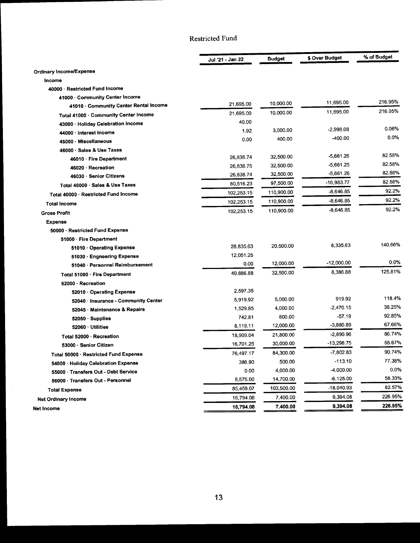### Restricted Fund

|                                        | Jul '21 - Jan 22 | <b>Budget</b> | \$ Over Budget | % of Budget |
|----------------------------------------|------------------|---------------|----------------|-------------|
| <b>Ordinary Income/Expense</b>         |                  |               |                |             |
| Income                                 |                  |               |                |             |
| 40000 Restricted Fund Income           |                  |               |                |             |
| 41000 Community Center Income          |                  |               |                |             |
| 41010 · Community Center Rental Income | 21,695.00        | 10,000.00     | 11,695.00      | 216.95%     |
| Total 41000 · Community Center Income  | 21,695.00        | 10,000.00     | 11,695.00      | 216.95%     |
| 43000 · Holiday Celebration Income     | 40.00            |               |                |             |
| 44000 · Interest Income                | 1.92             | 3,000.00      | $-2,998.08$    | 0.06%       |
| 45000 · Miscellaneous                  | 0.00             | 400.00        | -400.00        | 0.0%        |
| 46000 · Sales & Use Taxes              |                  |               |                |             |
| 46010 · Fire Department                | 26,838.74        | 32,500.00     | $-5,661.26$    | 82.58%      |
| 46020 · Recreation                     | 26,838.75        | 32,500.00     | $-5,661.25$    | 82.58%      |
| 46030 · Senior Citizens                | 26,838.74        | 32,500.00     | -5,661.26      | 82.58%      |
| Total 46000 · Sales & Use Taxes        | 80,516.23        | 97,500.00     | $-16,983.77$   | 82.58%      |
| Total 40000 Restricted Fund Income     | 102,253.15       | 110,900.00    | -8,646.85      | 92.2%       |
| <b>Total Income</b>                    | 102,253.15       | 110,900.00    | $-8,646.85$    | 92.2%       |
| <b>Gross Profit</b>                    | 102,253.15       | 110,900.00    | $-8,646.85$    | 92.2%       |
| <b>Expense</b>                         |                  |               |                |             |
| 50000 · Restricted Fund Expense        |                  |               |                |             |
| 51000 · Fire Department                |                  |               |                |             |
| 51010 · Operating Expense              | 28,835.63        | 20,500.00     | 8,335.63       | 140.66%     |
| 51030 · Engneering Expense             | 12,051.25        |               |                |             |
| 51040 · Personnel Reimbursement        | 0.00             | 12,000.00     | $-12,000.00$   | 0.0%        |
| Total 51000 · Fire Department          | 40.886.88        | 32,500.00     | 8,386.88       | 125.81%     |
| 52000 · Recreation                     |                  |               |                |             |
| 52010 · Operating Expense              | 2,597.35         |               |                |             |
| 52040 · Insurance - Community Center   | 5,919.92         | 5,000.00      | 919.92         | 118.4%      |
| 52045 · Maintenance & Repairs          | 1,529.85         | 4,000.00      | $-2,470.15$    | 38.25%      |
| 52050 Supplies                         | 742.81           | 800.00        | $-57.19$       | 92.85%      |
| 52060 Utilities                        | 8,119.11         | 12,000.00     | $-3,880.89$    | 67.66%      |
| Total 52000 · Recreation               | 18,909.04        | 21,800.00     | $-2,890.96$    | 86.74%      |
| 53000 · Senior Citizen                 | 16,701.25        | 30,000.00     | $-13,298.75$   | 55.67%      |
| Total 50000 · Restricted Fund Expense  | 76,497.17        | 84,300.00     | $-7.802.83$    | 90.74%      |
| 54000 Holiday Celebration Expense      | 386.90           | 500.00        | $-113.10$      | 77.38%      |
| 55000 · Transfers Out - Debt Service   | 0.00             | 4,000.00      | -4,000.00      | 0.0%        |
| 56000 · Transfers Out - Personnel      | 8,575.00         | 14,700.00     | $-6,125.00$    | 58.33%      |
| <b>Total Expense</b>                   | 85,459.07        | 103,500.00    | -18,040.93     | 82.57%      |
| <b>Net Ordinary Income</b>             | 16,794.08        | 7,400.00      | 9,394.08       | 226.95%     |
| Net Income                             | 16,794.08        | 7,400.00      | 9,394.08       | 226.95%     |

 $\mathcal{A}$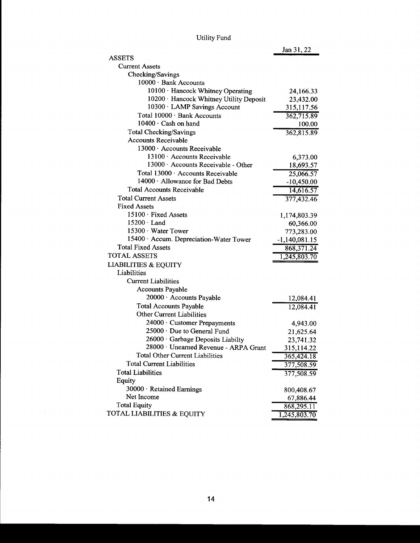| <b>Utility Fund</b> |  |
|---------------------|--|
|---------------------|--|

| <b>ASSETS</b>                           |                 |
|-----------------------------------------|-----------------|
| <b>Current Assets</b>                   |                 |
| Checking/Savings                        |                 |
| 10000 · Bank Accounts                   |                 |
| 10100 · Hancock Whitney Operating       | 24,166.33       |
| 10200 · Hancock Whitney Utility Deposit | 23,432.00       |
| 10300 · LAMP Savings Account            | 315,117.56      |
| Total 10000 · Bank Accounts             | 362,715.89      |
| $10400 \cdot$ Cash on hand              | 100.00          |
| <b>Total Checking/Savings</b>           | 362,815.89      |
| <b>Accounts Receivable</b>              |                 |
| 13000 · Accounts Receivable             |                 |
| 13100 · Accounts Receivable             | 6,373.00        |
| 13000 · Accounts Receivable - Other     | 18,693.57       |
| Total 13000 · Accounts Receivable       | 25,066.57       |
| 14000 · Allowance for Bad Debts         | $-10,450.00$    |
| <b>Total Accounts Receivable</b>        | 14,616.57       |
| <b>Total Current Assets</b>             | 377,432.46      |
| <b>Fixed Assets</b>                     |                 |
| 15100 · Fixed Assets                    | 1,174,803.39    |
| $15200 \cdot$ Land                      | 60,366.00       |
| 15300 · Water Tower                     | 773,283.00      |
| 15400 · Accum. Depreciation-Water Tower | $-1,140,081.15$ |
| <b>Total Fixed Assets</b>               | 868,371.24      |
| <b>TOTAL ASSETS</b>                     | 1,245,803.70    |
| <b>LIABILITIES &amp; EQUITY</b>         |                 |
| Liabilities                             |                 |
| <b>Current Liabilities</b>              |                 |
| Accounts Payable                        |                 |
| 20000 · Accounts Payable                | 12,084.41       |
| <b>Total Accounts Payable</b>           | 12,084.41       |
| <b>Other Current Liabilities</b>        |                 |
| 24000 · Customer Prepayments            | 4,943.00        |
| 25000 · Due to General Fund             | 21,625.64       |
| 26000 · Garbage Deposits Liabilty       | 23,741.32       |
| 28000 · Unearned Revenue - ARPA Grant   | 315,114.22      |
| <b>Total Other Current Liabilities</b>  | 365,424.18      |
| <b>Total Current Liabilities</b>        | 377,508.59      |
| <b>Total Liabilities</b>                | 377,508.59      |
| Equity                                  |                 |
| 30000 · Retained Earnings               | 800,408.67      |
| Net Income                              | 67,886.44       |
| <b>Total Equity</b>                     | 868,295.11      |
| TOTAL LIABILITIES & EQUITY              | 1,245,803.70    |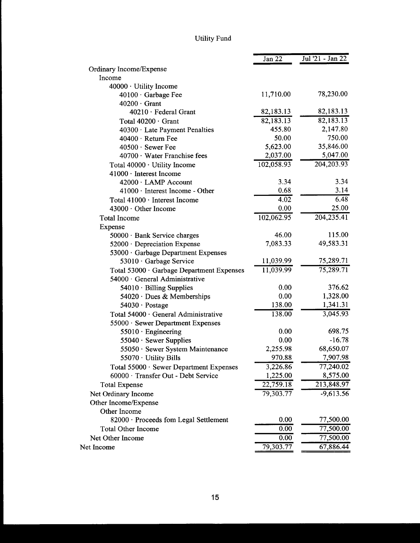## Utility Fund

|                                           | Jan 22     | Jul '21 - Jan 22 |
|-------------------------------------------|------------|------------------|
| Ordinary Income/Expense                   |            |                  |
| Income                                    |            |                  |
| 40000 · Utility Income                    |            |                  |
| $40100 \cdot$ Garbage Fee                 | 11,710.00  | 78,230.00        |
| $40200 \cdot$ Grant                       |            |                  |
| 40210 · Federal Grant                     | 82,183.13  | 82,183.13        |
| Total 40200 · Grant                       | 82,183.13  | 82,183.13        |
| 40300 · Late Payment Penalties            | 455.80     | 2,147.80         |
| $40400 \cdot$ Return Fee                  | 50.00      | 750.00           |
| $40500 \cdot$ Sewer Fee                   | 5,623.00   | 35,846.00        |
| 40700 · Water Franchise fees              | 2,037.00   | 5,047.00         |
| Total 40000 · Utility Income              | 102,058.93 | 204, 203. 93     |
| 41000 · Interest Income                   |            |                  |
| 42000 · LAMP Account                      | 3.34       | 3.34             |
| $41000 \cdot$ Interest Income - Other     | 0.68       | 3.14             |
| Total $41000 \cdot$ Interest Income       | 4.02       | 6.48             |
| 43000 · Other Income                      | 0.00       | 25.00            |
| Total Income                              | 102,062.95 | 204,235.41       |
| Expense                                   |            |                  |
| 50000 · Bank Service charges              | 46.00      | 115.00           |
| $52000 \cdot$ Depreciation Expense        | 7,083.33   | 49,583.31        |
| 53000 · Garbage Department Expenses       |            |                  |
| 53010 · Garbage Service                   | 11,039.99  | 75,289.71        |
| Total 53000 · Garbage Department Expenses | 11,039.99  | 75,289.71        |
| 54000 · General Administrative            |            |                  |
| $54010 \cdot$ Billing Supplies            | 0.00       | 376.62           |
| 54020 · Dues & Memberships                | 0.00       | 1,328.00         |
| $54030 \cdot$ Postage                     | 138.00     | 1,341.31         |
| Total 54000 · General Administrative      | 138.00     | 3,045.93         |
| 55000 · Sewer Department Expenses         |            |                  |
| $55010 \cdot$ Engineering                 | 0.00       | 698.75           |
| $55040 \cdot$ Sewer Supplies              | 0.00       | $-16.78$         |
| 55050 · Sewer System Maintenance          | 2,255.98   | 68,650.07        |
| 55070 · Utility Bills                     | 970.88     | 7,907.98         |
| Total 55000 · Sewer Department Expenses   | 3,226.86   | 77,240.02        |
| 60000 · Transfer Out - Debt Service       | 1,225.00   | 8,575.00         |
| <b>Total Expense</b>                      | 22,759.18  | 213,848.97       |
| Net Ordinary Income                       | 79,303.77  | $-9,613.56$      |
| Other Income/Expense                      |            |                  |
| Other Income                              |            |                  |
| 82000 · Proceeds fom Legal Settlement     | 0.00       | 77,500.00        |
| <b>Total Other Income</b>                 | 0.00       | 77,500.00        |
| Net Other Income                          | 0.00       | 77,500.00        |
| Net Income                                | 79,303.77  | 67,886.44        |
|                                           |            |                  |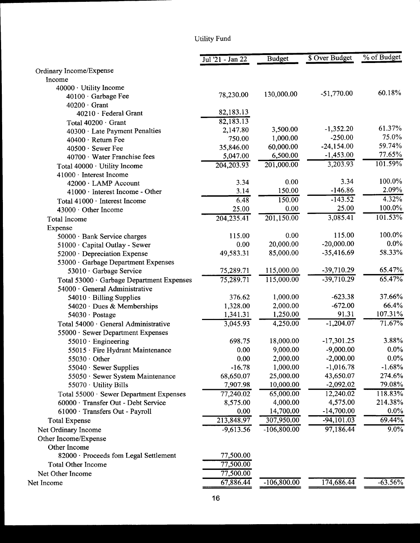## Utility Fund

|                                           | Jul '21 - Jan 22 | <b>Budget</b> | \$ Over Budget | % of Budget          |
|-------------------------------------------|------------------|---------------|----------------|----------------------|
| Ordinary Income/Expense                   |                  |               |                |                      |
| Income                                    |                  |               |                |                      |
| 40000 · Utility Income                    |                  |               |                | 60.18%               |
| 40100 · Garbage Fee                       | 78,230.00        | 130,000.00    | $-51,770.00$   |                      |
| $40200 \cdot$ Grant                       |                  |               |                |                      |
| 40210 · Federal Grant                     | 82,183.13        |               |                |                      |
| Total 40200 · Grant                       | 82,183.13        |               |                | 61.37%               |
| 40300 · Late Payment Penalties            | 2,147.80         | 3,500.00      | $-1,352.20$    | 75.0%                |
| 40400 · Return Fee                        | 750.00           | 1,000.00      | $-250.00$      | 59.74%               |
| 40500 · Sewer Fee                         | 35,846.00        | 60,000.00     | $-24,154.00$   |                      |
| 40700 · Water Franchise fees              | 5,047.00         | 6,500.00      | $-1,453.00$    | 77.65%               |
| Total 40000 · Utility Income              | 204, 203. 93     | 201,000.00    | 3,203.93       | 101.59%              |
| 41000 · Interest Income                   |                  |               |                |                      |
| 42000 · LAMP Account                      | 3.34             | 0.00          | 3.34           | 100.0%               |
| $41000 \cdot$ Interest Income - Other     | 3.14             | 150.00        | $-146.86$      | 2.09%                |
| Total 41000 · Interest Income             | 6.48             | 150.00        | $-143.52$      | $4.32\%$             |
| 43000 · Other Income                      | 25.00            | 0.00          | 25.00          | 100.0%               |
| <b>Total Income</b>                       | 204,235.41       | 201,150.00    | 3,085.41       | 101.53%              |
| Expense                                   |                  |               |                |                      |
| 50000 · Bank Service charges              | 115.00           | 0.00          | 115.00         | 100.0%               |
| 51000 · Capital Outlay - Sewer            | 0.00             | 20,000.00     | $-20,000.00$   | $0.0\%$              |
| 52000 · Depreciation Expense              | 49,583.31        | 85,000.00     | $-35,416.69$   | 58.33%               |
| 53000 · Garbage Department Expenses       |                  |               |                |                      |
| 53010 · Garbage Service                   | 75,289.71        | 115,000.00    | -39,710.29     | 65.47%               |
| Total 53000 · Garbage Department Expenses | 75,289.71        | 115,000.00    | $-39,710.29$   | $\overline{65.47\%}$ |
| 54000 · General Administrative            |                  |               |                |                      |
| $54010 \cdot$ Billing Supplies            | 376.62           | 1,000.00      | $-623.38$      | 37.66%               |
| 54020 · Dues & Memberships                | 1,328.00         | 2,000.00      | $-672.00$      | 66.4%                |
| $54030 \cdot$ Postage                     | 1,341.31         | 1,250.00      | 91.31          | 107.31%              |
| Total 54000 · General Administrative      | 3,045.93         | 4,250.00      | $-1,204.07$    | 71.67%               |
| 55000 · Sewer Department Expenses         |                  |               |                |                      |
| $55010 \cdot$ Engineering                 | 698.75           | 18,000.00     | $-17,301.25$   | 3.88%                |
| 55015 · Fire Hydrant Maintenance          | 0.00             | 9,000.00      | $-9,000.00$    | $0.0\%$              |
| $55030 \cdot$ Other                       | 0.00             | 2,000.00      | $-2,000.00$    | $0.0\%$              |
| 55040 · Sewer Supplies                    | $-16.78$         | 1,000.00      | $-1,016.78$    | $-1.68%$             |
| 55050 · Sewer System Maintenance          | 68,650.07        | 25,000.00     | 43,650.07      | 274.6%               |
| 55070 · Utility Bills                     | 7,907.98         | 10,000.00     | $-2,092.02$    | 79.08%               |
| Total 55000 · Sewer Department Expenses   | 77,240.02        | 65,000.00     | 12,240.02      | 118.83%              |
| 60000 · Transfer Out - Debt Service       | 8,575.00         | 4,000.00      | 4,575.00       | 214.38%              |
| 61000 · Transfers Out - Payroll           | 0.00             | 14,700.00     | $-14,700.00$   | $0.0\%$              |
| <b>Total Expense</b>                      | 213,848.97       | 307,950.00    | $-94,101.03$   | 69.44%               |
|                                           | $-9,613.56$      | $-106,800.00$ | 97,186.44      | $9.0\%$              |
| Net Ordinary Income                       |                  |               |                |                      |
| Other Income/Expense                      |                  |               |                |                      |
| Other Income                              |                  |               |                |                      |
| 82000 · Proceeds fom Legal Settlement     | 77,500.00        |               |                |                      |
| <b>Total Other Income</b>                 | 77,500.00        |               |                |                      |
| Net Other Income                          | 77,500.00        |               |                |                      |
| Net Income                                | 67,886.44        | $-106,800.00$ | 174,686.44     | $-63.56%$            |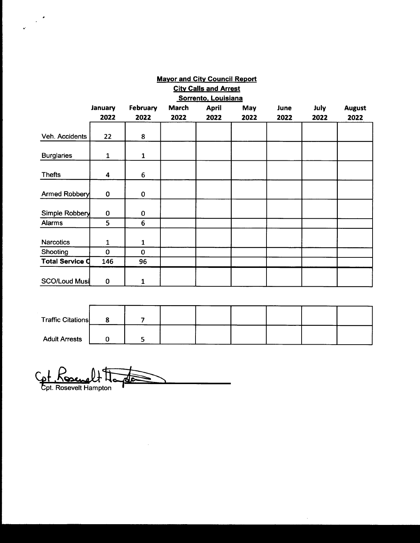|                              |              |              | <b>Mayor and City Council Report</b> |                     |      |      |             |               |
|------------------------------|--------------|--------------|--------------------------------------|---------------------|------|------|-------------|---------------|
| <b>City Calls and Arrest</b> |              |              |                                      |                     |      |      |             |               |
|                              |              |              |                                      | Sorrento, Louisiana |      |      |             |               |
|                              | January      | February     | <b>March</b>                         | <b>April</b>        | May  | June | <b>July</b> | <b>August</b> |
|                              | 2022         | 2022         | 2022                                 | 2022                | 2022 | 2022 | 2022        | 2022          |
| Veh. Accidents               | 22           | 8            |                                      |                     |      |      |             |               |
| <b>Burglaries</b>            | $\mathbf{1}$ | $\mathbf{1}$ |                                      |                     |      |      |             |               |
| <b>Thefts</b>                | 4            | 6            |                                      |                     |      |      |             |               |
| Armed Robbery                | $\bf{0}$     | 0            |                                      |                     |      |      |             |               |
| Simple Robbery               | $\bf{0}$     | 0            |                                      |                     |      |      |             |               |
| Alarms                       | 5            | 6            |                                      |                     |      |      |             |               |
| <b>Narcotics</b>             | 1            | 1            |                                      |                     |      |      |             |               |
| Shooting                     | $\mathbf 0$  | $\mathbf 0$  |                                      |                     |      |      |             |               |
| <b>Total Service Q</b>       | 146          | 96           |                                      |                     |      |      |             |               |
| <b>SCO/Loud Musi</b>         | 0            | 1            |                                      |                     |      |      |             |               |

| <b>Traffic Citations</b> |  |  |  |  |
|--------------------------|--|--|--|--|
| <b>Adult Arrests</b>     |  |  |  |  |

Cet Rosewelt Honde

 $\bar{z}$ 

 $\mathcal{L}^{\mathcal{A}}$